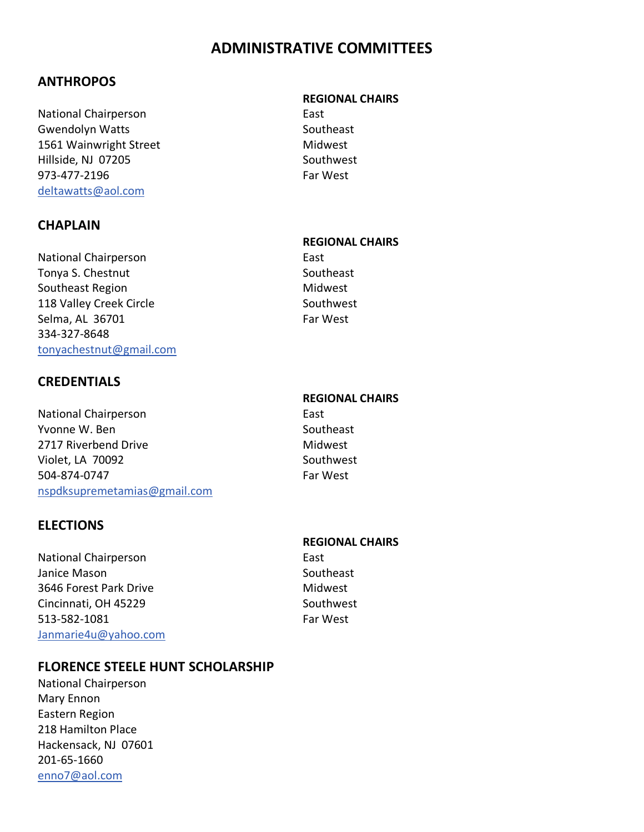# **ADMINISTRATIVE COMMITTEES**

## **ANTHROPOS**

National Chairperson **East** Gwendolyn Watts **Southeast** Southeast 1561 Wainwright Street Midwest Hillside, NJ 07205 Southwest 973-477-2196 Far West [deltawatts@aol.com](mailto:deltawatts@aol.com)

## **CHAPLAIN**

National Chairperson **East** Tonya S. Chestnut Southeast Southeast Region Midwest 118 Valley Creek Circle **Southwest** Southwest Selma, AL 36701 Far West 334-327-8648 [tonyachestnut@gmail.com](mailto:tonyachestnut@gmail.com)

## **CREDENTIALS**

National Chairperson **East** Yvonne W. Ben Southeast 2717 Riverbend Drive Midwest Violet, LA 70092 Southwest 504-874-0747 Far West [nspdksupremetamias@gmail.com](mailto:nspdksupremetamias@gmail.com)

## **ELECTIONS**

National Chairperson **East** Janice Mason Southeast 3646 Forest Park Drive Midwest Cincinnati, OH 45229 Southwest 513-582-1081 Far West [Janmarie4u@yahoo.com](mailto:Janmarie4u@yahoo.com)

## **FLORENCE STEELE HUNT SCHOLARSHIP**

National Chairperson Mary Ennon Eastern Region 218 Hamilton Place Hackensack, NJ 07601 201-65-1660 [enno7@aol.com](mailto:enno7@aol.com)

#### **REGIONAL CHAIRS**

### **REGIONAL CHAIRS**

### **REGIONAL CHAIRS**

#### **REGIONAL CHAIRS**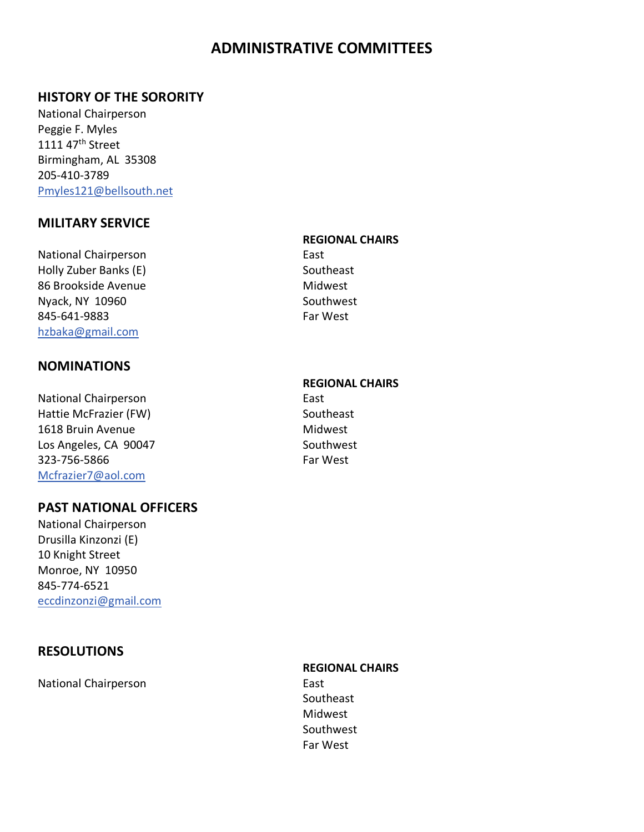# **ADMINISTRATIVE COMMITTEES**

## **HISTORY OF THE SORORITY**

National Chairperson Peggie F. Myles 1111 47<sup>th</sup> Street Birmingham, AL 35308 205-410-3789 [Pmyles121@bellsouth.net](mailto:Pmyles121@bellsouth.net)

## **MILITARY SERVICE**

National Chairperson **East** Holly Zuber Banks (E) Southeast 86 Brookside Avenue Midwest Nyack, NY 10960 Southwest 845-641-9883 Far West [hzbaka@gmail.com](mailto:hzbaka@gmail.com)

### **NOMINATIONS**

National Chairperson **East** Hattie McFrazier (FW) Southeast 1618 Bruin Avenue **Midwest** Los Angeles, CA 90047 Southwest 323-756-5866 Far West [Mcfrazier7@aol.com](mailto:Mcfrazier7@aol.com)

### **PAST NATIONAL OFFICERS**

National Chairperson Drusilla Kinzonzi (E) 10 Knight Street Monroe, NY 10950 845-774-6521 [eccdinzonzi@gmail.com](mailto:eccdinzonzi@gmail.com)

## **RESOLUTIONS**

National Chairperson **East** 

### **REGIONAL CHAIRS**

### **REGIONAL CHAIRS**

**REGIONAL CHAIRS** Southeast Midwest Southwest Far West